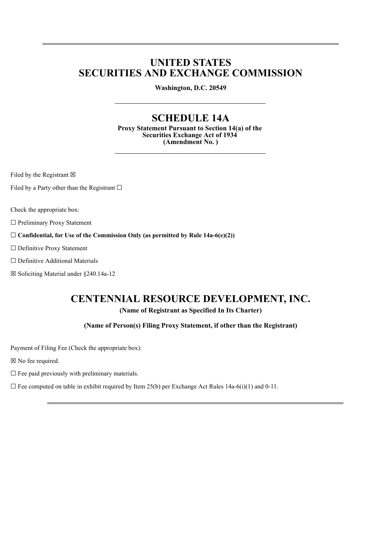## **UNITED STATES SECURITIES AND EXCHANGE COMMISSION**

**Washington, D.C. 20549**

## **SCHEDULE 14A**

**Proxy Statement Pursuant to Section 14(a) of the Securities Exchange Act of 1934 (Amendment No. )**

Filed by the Registrant  $\boxtimes$ 

Filed by a Party other than the Registrant  $□$ 

Check the appropriate box:

☐ Preliminary Proxy Statement

☐ **Confidential, for Use of the Commission Only (as permitted by Rule 14a-6(e)(2))**

☐ Definitive Proxy Statement

□ Definitive Additional Materials

☒ Soliciting Material under §240.14a-12

### **CENTENNIAL RESOURCE DEVELOPMENT, INC.**

**(Name of Registrant as Specified In Its Charter)**

**(Name of Person(s) Filing Proxy Statement, if other than the Registrant)**

Payment of Filing Fee (Check the appropriate box):

☒ No fee required.

 $\Box$  Fee paid previously with preliminary materials.

 $\Box$  Fee computed on table in exhibit required by Item 25(b) per Exchange Act Rules 14a-6(i)(1) and 0-11.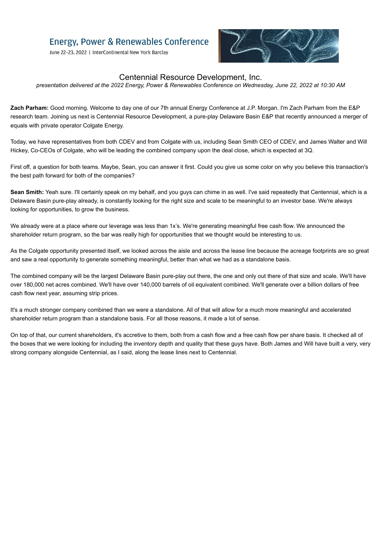# Energy, Power & Renewables Conference

June 22-23, 2022 | InterContinental New York Barclay



#### Centennial Resource Development, Inc.

presentation delivered at the 2022 Energy, Power & Renewables Conference on Wednesday, June 22, 2022 at 10:30 AM

**Zach Parham:** Good morning. Welcome to day one of our 7th annual Energy Conference at J.P. Morgan. I'm Zach Parham from the E&P research team. Joining us next is Centennial Resource Development, a pure-play Delaware Basin E&P that recently announced a merger of equals with private operator Colgate Energy.

Today, we have representatives from both CDEV and from Colgate with us, including Sean Smith CEO of CDEV, and James Walter and Will Hickey, Co-CEOs of Colgate, who will be leading the combined company upon the deal close, which is expected at 3Q.

First off, a question for both teams. Maybe, Sean, you can answer it first. Could you give us some color on why you believe this transaction's the best path forward for both of the companies?

**Sean Smith:** Yeah sure. I'll certainly speak on my behalf, and you guys can chime in as well. I've said repeatedly that Centennial, which is a Delaware Basin pure-play already, is constantly looking for the right size and scale to be meaningful to an investor base. We're always looking for opportunities, to grow the business.

We already were at a place where our leverage was less than 1x's. We're generating meaningful free cash flow. We announced the shareholder return program, so the bar was really high for opportunities that we thought would be interesting to us.

As the Colgate opportunity presented itself, we looked across the aisle and across the lease line because the acreage footprints are so great and saw a real opportunity to generate something meaningful, better than what we had as a standalone basis.

The combined company will be the largest Delaware Basin pure-play out there, the one and only out there of that size and scale. We'll have over 180,000 net acres combined. We'll have over 140,000 barrels of oil equivalent combined. We'll generate over a billion dollars of free cash flow next year, assuming strip prices.

It's a much stronger company combined than we were a standalone. All of that will allow for a much more meaningful and accelerated shareholder return program than a standalone basis. For all those reasons, it made a lot of sense.

On top of that, our current shareholders, it's accretive to them, both from a cash flow and a free cash flow per share basis. It checked all of the boxes that we were looking for including the inventory depth and quality that these guys have. Both James and Will have built a very, very strong company alongside Centennial, as I said, along the lease lines next to Centennial.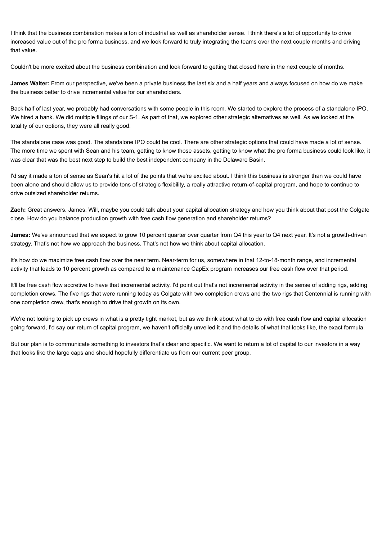I think that the business combination makes a ton of industrial as well as shareholder sense. I think there's a lot of opportunity to drive increased value out of the pro forma business, and we look forward to truly integrating the teams over the next couple months and driving that value.

Couldn't be more excited about the business combination and look forward to getting that closed here in the next couple of months.

**James Walter:** From our perspective, we've been a private business the last six and a half years and always focused on how do we make the business better to drive incremental value for our shareholders.

Back half of last year, we probably had conversations with some people in this room. We started to explore the process of a standalone IPO. We hired a bank. We did multiple filings of our S-1. As part of that, we explored other strategic alternatives as well. As we looked at the totality of our options, they were all really good.

The standalone case was good. The standalone IPO could be cool. There are other strategic options that could have made a lot of sense. The more time we spent with Sean and his team, getting to know those assets, getting to know what the pro forma business could look like, it was clear that was the best next step to build the best independent company in the Delaware Basin.

I'd say it made a ton of sense as Sean's hit a lot of the points that we're excited about. I think this business is stronger than we could have been alone and should allow us to provide tons of strategic flexibility, a really attractive return-of-capital program, and hope to continue to drive outsized shareholder returns.

**Zach:** Great answers. James, Will, maybe you could talk about your capital allocation strategy and how you think about that post the Colgate close. How do you balance production growth with free cash flow generation and shareholder returns?

**James:** We've announced that we expect to grow 10 percent quarter over quarter from Q4 this year to Q4 next year. It's not a growth-driven strategy. That's not how we approach the business. That's not how we think about capital allocation.

It's how do we maximize free cash flow over the near term. Near-term for us, somewhere in that 12-to-18-month range, and incremental activity that leads to 10 percent growth as compared to a maintenance CapEx program increases our free cash flow over that period.

It'll be free cash flow accretive to have that incremental activity. I'd point out that's not incremental activity in the sense of adding rigs, adding completion crews. The five rigs that were running today as Colgate with two completion crews and the two rigs that Centennial is running with one completion crew, that's enough to drive that growth on its own.

We're not looking to pick up crews in what is a pretty tight market, but as we think about what to do with free cash flow and capital allocation going forward, I'd say our return of capital program, we haven't officially unveiled it and the details of what that looks like, the exact formula.

But our plan is to communicate something to investors that's clear and specific. We want to return a lot of capital to our investors in a way that looks like the large caps and should hopefully differentiate us from our current peer group.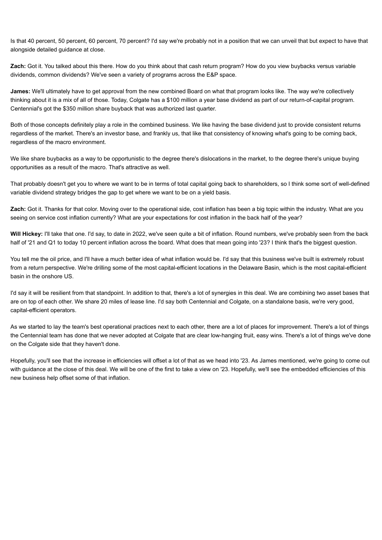Is that 40 percent, 50 percent, 60 percent, 70 percent? I'd say we're probably not in a position that we can unveil that but expect to have that alongside detailed guidance at close.

**Zach:** Got it. You talked about this there. How do you think about that cash return program? How do you view buybacks versus variable dividends, common dividends? We've seen a variety of programs across the E&P space.

**James:** We'll ultimately have to get approval from the new combined Board on what that program looks like. The way we're collectively thinking about it is a mix of all of those. Today, Colgate has a \$100 million a year base dividend as part of our return-of-capital program. Centennial's got the \$350 million share buyback that was authorized last quarter.

Both of those concepts definitely play a role in the combined business. We like having the base dividend just to provide consistent returns regardless of the market. There's an investor base, and frankly us, that like that consistency of knowing what's going to be coming back, regardless of the macro environment.

We like share buybacks as a way to be opportunistic to the degree there's dislocations in the market, to the degree there's unique buying opportunities as a result of the macro. That's attractive as well.

That probably doesn't get you to where we want to be in terms of total capital going back to shareholders, so I think some sort of well-defined variable dividend strategy bridges the gap to get where we want to be on a yield basis.

**Zach:** Got it. Thanks for that color. Moving over to the operational side, cost inflation has been a big topic within the industry. What are you seeing on service cost inflation currently? What are your expectations for cost inflation in the back half of the year?

Will Hickey: I'll take that one. I'd say, to date in 2022, we've seen quite a bit of inflation. Round numbers, we've probably seen from the back half of '21 and Q1 to today 10 percent inflation across the board. What does that mean going into '23? I think that's the biggest question.

You tell me the oil price, and I'll have a much better idea of what inflation would be. I'd say that this business we've built is extremely robust from a return perspective. We're drilling some of the most capital-efficient locations in the Delaware Basin, which is the most capital-efficient basin in the onshore US.

I'd say it will be resilient from that standpoint. In addition to that, there's a lot of synergies in this deal. We are combining two asset bases that are on top of each other. We share 20 miles of lease line. I'd say both Centennial and Colgate, on a standalone basis, we're very good, capital-efficient operators.

As we started to lay the team's best operational practices next to each other, there are a lot of places for improvement. There's a lot of things the Centennial team has done that we never adopted at Colgate that are clear low-hanging fruit, easy wins. There's a lot of things we've done on the Colgate side that they haven't done.

Hopefully, you'll see that the increase in efficiencies will offset a lot of that as we head into '23. As James mentioned, we're going to come out with guidance at the close of this deal. We will be one of the first to take a view on '23. Hopefully, we'll see the embedded efficiencies of this new business help offset some of that inflation.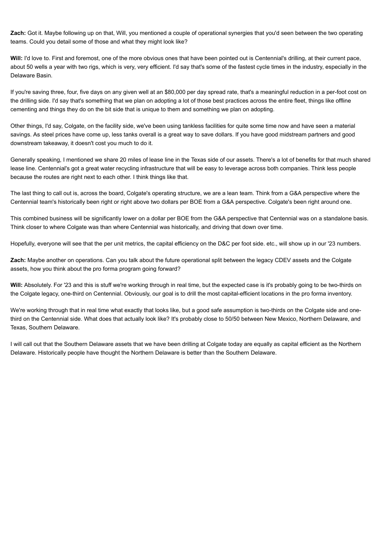**Zach:** Got it. Maybe following up on that, Will, you mentioned a couple of operational synergies that you'd seen between the two operating teams. Could you detail some of those and what they might look like?

Will: I'd love to. First and foremost, one of the more obvious ones that have been pointed out is Centennial's drilling, at their current pace, about 50 wells a year with two rigs, which is very, very efficient. I'd say that's some of the fastest cycle times in the industry, especially in the Delaware Basin.

If you're saving three, four, five days on any given well at an \$80,000 per day spread rate, that's a meaningful reduction in a per-foot cost on the drilling side. I'd say that's something that we plan on adopting a lot of those best practices across the entire fleet, things like offline cementing and things they do on the bit side that is unique to them and something we plan on adopting.

Other things, I'd say, Colgate, on the facility side, we've been using tankless facilities for quite some time now and have seen a material savings. As steel prices have come up, less tanks overall is a great way to save dollars. If you have good midstream partners and good downstream takeaway, it doesn't cost you much to do it.

Generally speaking, I mentioned we share 20 miles of lease line in the Texas side of our assets. There's a lot of benefits for that much shared lease line. Centennial's got a great water recycling infrastructure that will be easy to leverage across both companies. Think less people because the routes are right next to each other. I think things like that.

The last thing to call out is, across the board, Colgate's operating structure, we are a lean team. Think from a G&A perspective where the Centennial team's historically been right or right above two dollars per BOE from a G&A perspective. Colgate's been right around one.

This combined business will be significantly lower on a dollar per BOE from the G&A perspective that Centennial was on a standalone basis. Think closer to where Colgate was than where Centennial was historically, and driving that down over time.

Hopefully, everyone will see that the per unit metrics, the capital efficiency on the D&C per foot side. etc., will show up in our '23 numbers.

**Zach:** Maybe another on operations. Can you talk about the future operational split between the legacy CDEV assets and the Colgate assets, how you think about the pro forma program going forward?

**Will:** Absolutely. For '23 and this is stuff we're working through in real time, but the expected case is it's probably going to be two-thirds on the Colgate legacy, one-third on Centennial. Obviously, our goal is to drill the most capital-efficient locations in the pro forma inventory.

We're working through that in real time what exactly that looks like, but a good safe assumption is two-thirds on the Colgate side and onethird on the Centennial side. What does that actually look like? It's probably close to 50/50 between New Mexico, Northern Delaware, and Texas, Southern Delaware.

I will call out that the Southern Delaware assets that we have been drilling at Colgate today are equally as capital efficient as the Northern Delaware. Historically people have thought the Northern Delaware is better than the Southern Delaware.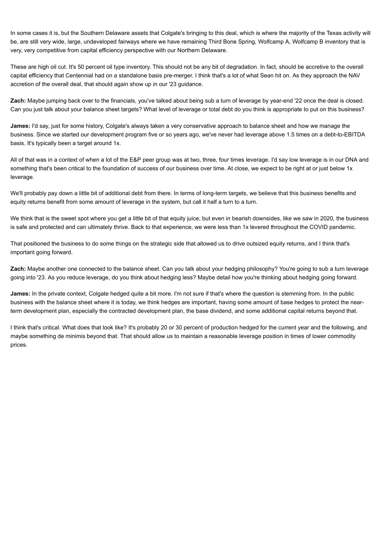In some cases it is, but the Southern Delaware assets that Colgate's bringing to this deal, which is where the majority of the Texas activity will be, are still very wide, large, undeveloped fairways where we have remaining Third Bone Spring, Wolfcamp A, Wolfcamp B inventory that is very, very competitive from capital efficiency perspective with our Northern Delaware.

These are high oil cut. It's 50 percent oil type inventory. This should not be any bit of degradation. In fact, should be accretive to the overall capital efficiency that Centennial had on a standalone basis pre-merger. I think that's a lot of what Sean hit on. As they approach the NAV accretion of the overall deal, that should again show up in our '23 guidance.

**Zach:** Maybe jumping back over to the financials, you've talked about being sub a turn of leverage by year-end '22 once the deal is closed. Can you just talk about your balance sheet targets? What level of leverage or total debt do you think is appropriate to put on this business?

**James:** I'd say, just for some history, Colgate's always taken a very conservative approach to balance sheet and how we manage the business. Since we started our development program five or so years ago, we've never had leverage above 1.5 times on a debt-to-EBITDA basis. It's typically been a target around 1x.

All of that was in a context of when a lot of the E&P peer group was at two, three, four times leverage. I'd say low leverage is in our DNA and something that's been critical to the foundation of success of our business over time. At close, we expect to be right at or just below 1x leverage.

We'll probably pay down a little bit of additional debt from there. In terms of long-term targets, we believe that this business benefits and equity returns benefit from some amount of leverage in the system, but call it half a turn to a turn.

We think that is the sweet spot where you get a little bit of that equity juice, but even in bearish downsides, like we saw in 2020, the business is safe and protected and can ultimately thrive. Back to that experience, we were less than 1x levered throughout the COVID pandemic.

That positioned the business to do some things on the strategic side that allowed us to drive outsized equity returns, and I think that's important going forward.

**Zach:** Maybe another one connected to the balance sheet. Can you talk about your hedging philosophy? You're going to sub a turn leverage going into '23. As you reduce leverage, do you think about hedging less? Maybe detail how you're thinking about hedging going forward.

**James:** In the private context, Colgate hedged quite a bit more. I'm not sure if that's where the question is stemming from. In the public business with the balance sheet where it is today, we think hedges are important, having some amount of base hedges to protect the nearterm development plan, especially the contracted development plan, the base dividend, and some additional capital returns beyond that.

I think that's critical. What does that look like? It's probably 20 or 30 percent of production hedged for the current year and the following, and maybe something de minimis beyond that. That should allow us to maintain a reasonable leverage position in times of lower commodity prices.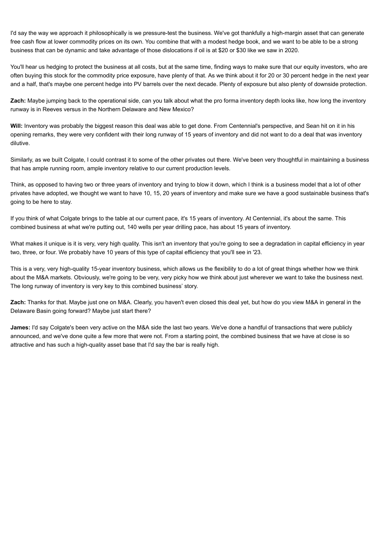I'd say the way we approach it philosophically is we pressure-test the business. We've got thankfully a high-margin asset that can generate free cash flow at lower commodity prices on its own. You combine that with a modest hedge book, and we want to be able to be a strong business that can be dynamic and take advantage of those dislocations if oil is at \$20 or \$30 like we saw in 2020.

You'll hear us hedging to protect the business at all costs, but at the same time, finding ways to make sure that our equity investors, who are often buying this stock for the commodity price exposure, have plenty of that. As we think about it for 20 or 30 percent hedge in the next year and a half, that's maybe one percent hedge into PV barrels over the next decade. Plenty of exposure but also plenty of downside protection.

**Zach:** Maybe jumping back to the operational side, can you talk about what the pro forma inventory depth looks like, how long the inventory runway is in Reeves versus in the Northern Delaware and New Mexico?

Will: Inventory was probably the biggest reason this deal was able to get done. From Centennial's perspective, and Sean hit on it in his opening remarks, they were very confident with their long runway of 15 years of inventory and did not want to do a deal that was inventory dilutive.

Similarly, as we built Colgate, I could contrast it to some of the other privates out there. We've been very thoughtful in maintaining a business that has ample running room, ample inventory relative to our current production levels.

Think, as opposed to having two or three years of inventory and trying to blow it down, which I think is a business model that a lot of other privates have adopted, we thought we want to have 10, 15, 20 years of inventory and make sure we have a good sustainable business that's going to be here to stay.

If you think of what Colgate brings to the table at our current pace, it's 15 years of inventory. At Centennial, it's about the same. This combined business at what we're putting out, 140 wells per year drilling pace, has about 15 years of inventory.

What makes it unique is it is very, very high quality. This isn't an inventory that you're going to see a degradation in capital efficiency in year two, three, or four. We probably have 10 years of this type of capital efficiency that you'll see in '23.

This is a very, very high-quality 15-year inventory business, which allows us the flexibility to do a lot of great things whether how we think about the M&A markets. Obviously, we're going to be very, very picky how we think about just wherever we want to take the business next. The long runway of inventory is very key to this combined business' story.

**Zach:** Thanks for that. Maybe just one on M&A. Clearly, you haven't even closed this deal yet, but how do you view M&A in general in the Delaware Basin going forward? Maybe just start there?

**James:** I'd say Colgate's been very active on the M&A side the last two years. We've done a handful of transactions that were publicly announced, and we've done quite a few more that were not. From a starting point, the combined business that we have at close is so attractive and has such a high-quality asset base that I'd say the bar is really high.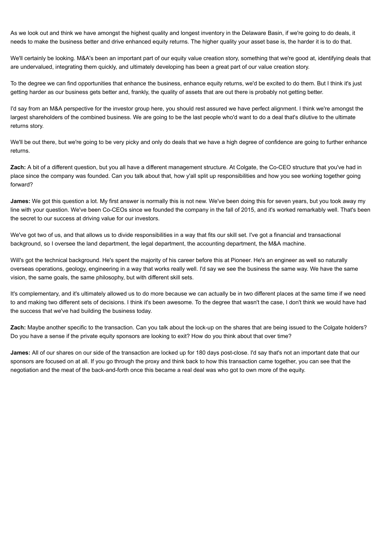As we look out and think we have amongst the highest quality and longest inventory in the Delaware Basin, if we're going to do deals, it needs to make the business better and drive enhanced equity returns. The higher quality your asset base is, the harder it is to do that.

We'll certainly be looking. M&A's been an important part of our equity value creation story, something that we're good at, identifying deals that are undervalued, integrating them quickly, and ultimately developing has been a great part of our value creation story.

To the degree we can find opportunities that enhance the business, enhance equity returns, we'd be excited to do them. But I think it's just getting harder as our business gets better and, frankly, the quality of assets that are out there is probably not getting better.

I'd say from an M&A perspective for the investor group here, you should rest assured we have perfect alignment. I think we're amongst the largest shareholders of the combined business. We are going to be the last people who'd want to do a deal that's dilutive to the ultimate returns story.

We'll be out there, but we're going to be very picky and only do deals that we have a high degree of confidence are going to further enhance returns.

**Zach:** A bit of a different question, but you all have a different management structure. At Colgate, the Co-CEO structure that you've had in place since the company was founded. Can you talk about that, how y'all split up responsibilities and how you see working together going forward?

**James:** We got this question a lot. My first answer is normally this is not new. We've been doing this for seven years, but you took away my line with your question. We've been Co-CEOs since we founded the company in the fall of 2015, and it's worked remarkably well. That's been the secret to our success at driving value for our investors.

We've got two of us, and that allows us to divide responsibilities in a way that fits our skill set. I've got a financial and transactional background, so I oversee the land department, the legal department, the accounting department, the M&A machine.

Will's got the technical background. He's spent the majority of his career before this at Pioneer. He's an engineer as well so naturally overseas operations, geology, engineering in a way that works really well. I'd say we see the business the same way. We have the same vision, the same goals, the same philosophy, but with different skill sets.

It's complementary, and it's ultimately allowed us to do more because we can actually be in two different places at the same time if we need to and making two different sets of decisions. I think it's been awesome. To the degree that wasn't the case, I don't think we would have had the success that we've had building the business today.

**Zach:** Maybe another specific to the transaction. Can you talk about the lock-up on the shares that are being issued to the Colgate holders? Do you have a sense if the private equity sponsors are looking to exit? How do you think about that over time?

**James:** All of our shares on our side of the transaction are locked up for 180 days post-close. I'd say that's not an important date that our sponsors are focused on at all. If you go through the proxy and think back to how this transaction came together, you can see that the negotiation and the meat of the back-and-forth once this became a real deal was who got to own more of the equity.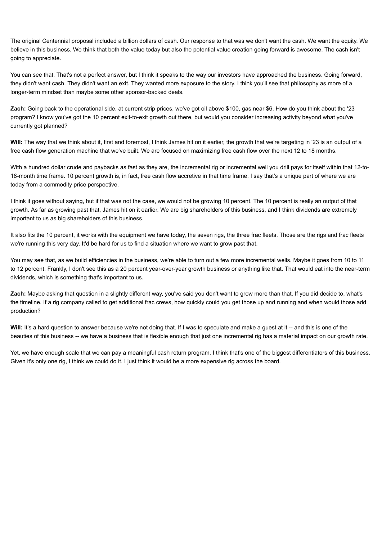The original Centennial proposal included a billion dollars of cash. Our response to that was we don't want the cash. We want the equity. We believe in this business. We think that both the value today but also the potential value creation going forward is awesome. The cash isn't going to appreciate.

You can see that. That's not a perfect answer, but I think it speaks to the way our investors have approached the business. Going forward, they didn't want cash. They didn't want an exit. They wanted more exposure to the story. I think you'll see that philosophy as more of a longer-term mindset than maybe some other sponsor-backed deals.

**Zach:** Going back to the operational side, at current strip prices, we've got oil above \$100, gas near \$6. How do you think about the '23 program? I know you've got the 10 percent exit-to-exit growth out there, but would you consider increasing activity beyond what you've currently got planned?

**Will:** The way that we think about it, first and foremost, I think James hit on it earlier, the growth that we're targeting in '23 is an output of a free cash flow generation machine that we've built. We are focused on maximizing free cash flow over the next 12 to 18 months.

With a hundred dollar crude and paybacks as fast as they are, the incremental rig or incremental well you drill pays for itself within that 12-to-18-month time frame. 10 percent growth is, in fact, free cash flow accretive in that time frame. I say that's a unique part of where we are today from a commodity price perspective.

I think it goes without saying, but if that was not the case, we would not be growing 10 percent. The 10 percent is really an output of that growth. As far as growing past that, James hit on it earlier. We are big shareholders of this business, and I think dividends are extremely important to us as big shareholders of this business.

It also fits the 10 percent, it works with the equipment we have today, the seven rigs, the three frac fleets. Those are the rigs and frac fleets we're running this very day. It'd be hard for us to find a situation where we want to grow past that.

You may see that, as we build efficiencies in the business, we're able to turn out a few more incremental wells. Maybe it goes from 10 to 11 to 12 percent. Frankly, I don't see this as a 20 percent year-over-year growth business or anything like that. That would eat into the near-term dividends, which is something that's important to us.

**Zach:** Maybe asking that question in a slightly different way, you've said you don't want to grow more than that. If you did decide to, what's the timeline. If a rig company called to get additional frac crews, how quickly could you get those up and running and when would those add production?

Will: It's a hard question to answer because we're not doing that. If I was to speculate and make a quest at it -- and this is one of the beauties of this business -- we have a business that is flexible enough that just one incremental rig has a material impact on our growth rate.

Yet, we have enough scale that we can pay a meaningful cash return program. I think that's one of the biggest differentiators of this business. Given it's only one rig, I think we could do it. I just think it would be a more expensive rig across the board.